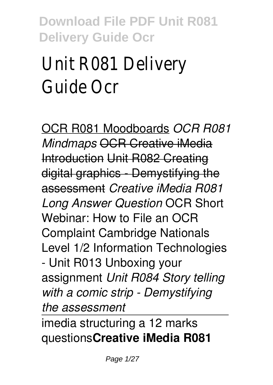# Unit R081 Delivery Guide Ocr

OCR R081 Moodboards *OCR R081 Mindmaps* OCR Creative iMedia Introduction Unit R082 Creating digital graphics - Demystifying the assessment *Creative iMedia R081 Long Answer Question* OCR Short Webinar: How to File an OCR Complaint Cambridge Nationals Level 1/2 Information Technologies - Unit R013 Unboxing your assignment *Unit R084 Story telling with a comic strip - Demystifying the assessment*

imedia structuring a 12 marks questions**Creative iMedia R081**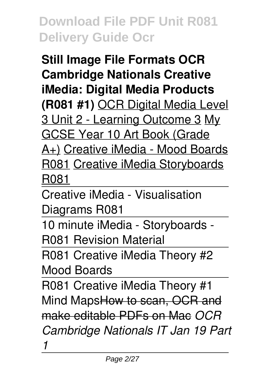**Still Image File Formats OCR Cambridge Nationals Creative iMedia: Digital Media Products (R081 #1)** OCR Digital Media Level 3 Unit 2 - Learning Outcome 3 My GCSE Year 10 Art Book (Grade A+) Creative iMedia - Mood Boards R081 Creative iMedia Storyboards R081

Creative iMedia - Visualisation Diagrams R081

10 minute iMedia - Storyboards - R081 Revision Material

R081 Creative iMedia Theory #2 Mood Boards

R081 Creative iMedia Theory #1 Mind MapsHow to scan, OCR and make editable PDFs on Mac *OCR Cambridge Nationals IT Jan 19 Part 1*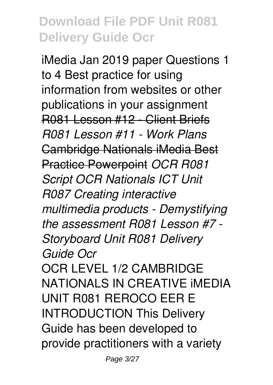iMedia Jan 2019 paper Questions 1 to 4 Best practice for using information from websites or other publications in your assignment R081 Lesson #12 - Client Briefs *R081 Lesson #11 - Work Plans* Cambridge Nationals iMedia Best Practice Powerpoint *OCR R081 Script OCR Nationals ICT Unit R087 Creating interactive multimedia products - Demystifying the assessment R081 Lesson #7 - Storyboard Unit R081 Delivery Guide Ocr* OCR LEVEL 1/2 CAMBRIDGE NATIONALS IN CREATIVE iMEDIA UNIT R081 REROCO EER E INTRODUCTION This Delivery Guide has been developed to provide practitioners with a variety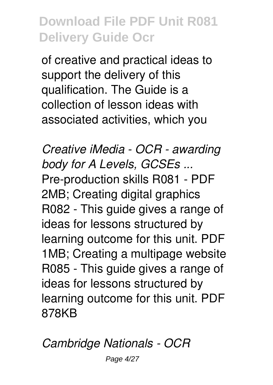of creative and practical ideas to support the delivery of this qualification. The Guide is a collection of lesson ideas with associated activities, which you

*Creative iMedia - OCR - awarding body for A Levels, GCSEs ...* Pre-production skills R081 - PDF 2MB; Creating digital graphics R082 - This guide gives a range of ideas for lessons structured by learning outcome for this unit. PDF 1MB; Creating a multipage website R085 - This guide gives a range of ideas for lessons structured by learning outcome for this unit. PDF 878KB

*Cambridge Nationals - OCR*

Page 4/27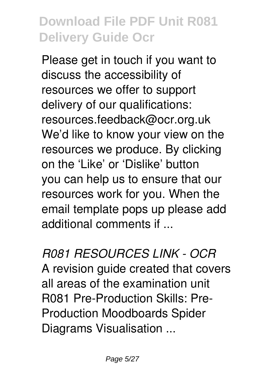Please get in touch if you want to discuss the accessibility of resources we offer to support delivery of our qualifications: resources.feedback@ocr.org.uk We'd like to know your view on the resources we produce. By clicking on the 'Like' or 'Dislike' button you can help us to ensure that our resources work for you. When the email template pops up please add additional comments if ...

*R081 RESOURCES LINK - OCR* A revision guide created that covers all areas of the examination unit R081 Pre-Production Skills: Pre-Production Moodboards Spider Diagrams Visualisation ...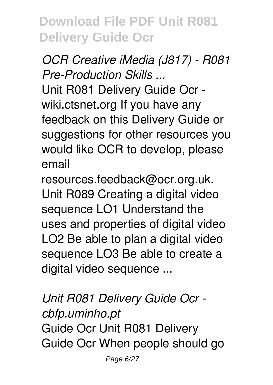*OCR Creative iMedia (J817) - R081 Pre-Production Skills ...* Unit R081 Delivery Guide Ocr wiki.ctsnet.org If you have any feedback on this Delivery Guide or suggestions for other resources you would like OCR to develop, please email

resources.feedback@ocr.org.uk. Unit R089 Creating a digital video sequence LO1 Understand the uses and properties of digital video LO2 Be able to plan a digital video sequence LO3 Be able to create a digital video sequence ...

*Unit R081 Delivery Guide Ocr cbfp.uminho.pt* Guide Ocr Unit R081 Delivery Guide Ocr When people should go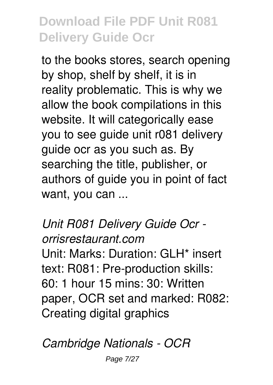to the books stores, search opening by shop, shelf by shelf, it is in reality problematic. This is why we allow the book compilations in this website. It will categorically ease you to see guide unit r081 delivery guide ocr as you such as. By searching the title, publisher, or authors of guide you in point of fact want, you can ...

*Unit R081 Delivery Guide Ocr orrisrestaurant.com* Unit: Marks: Duration: GLH\* insert text: R081: Pre-production skills: 60: 1 hour 15 mins: 30: Written paper, OCR set and marked: R082: Creating digital graphics

*Cambridge Nationals - OCR*

Page 7/27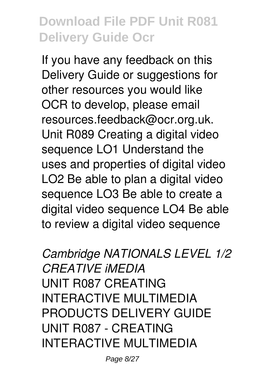If you have any feedback on this Delivery Guide or suggestions for other resources you would like OCR to develop, please email resources.feedback@ocr.org.uk. Unit R089 Creating a digital video sequence LO1 Understand the uses and properties of digital video LO2 Be able to plan a digital video sequence LO3 Be able to create a digital video sequence LO4 Be able to review a digital video sequence

*Cambridge NATIONALS LEVEL 1/2 CREATIVE iMEDIA* UNIT R087 CREATING INTERACTIVE MULTIMEDIA PRODUCTS DELIVERY GUIDE UNIT R087 - CREATING INTERACTIVE MULTIMEDIA

Page 8/27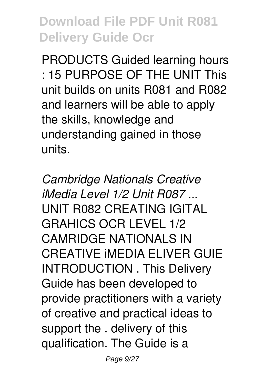PRODUCTS Guided learning hours : 15 PURPOSE OF THE UNIT This unit builds on units R081 and R082 and learners will be able to apply the skills, knowledge and understanding gained in those units.

*Cambridge Nationals Creative iMedia Level 1/2 Unit R087 ...* UNIT R082 CREATING IGITAL GRAHICS OCR LEVEL 1/2 CAMRIDGE NATIONALS IN CREATIVE iMEDIA ELIVER GUIE INTRODUCTION . This Delivery Guide has been developed to provide practitioners with a variety of creative and practical ideas to support the . delivery of this qualification. The Guide is a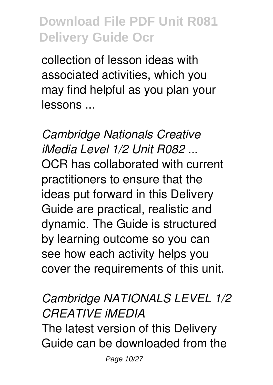collection of lesson ideas with associated activities, which you may find helpful as you plan your lessons ...

*Cambridge Nationals Creative iMedia Level 1/2 Unit R082 ...* OCR has collaborated with current practitioners to ensure that the ideas put forward in this Delivery Guide are practical, realistic and dynamic. The Guide is structured by learning outcome so you can see how each activity helps you cover the requirements of this unit.

#### *Cambridge NATIONALS LEVEL 1/2 CREATIVE iMEDIA*

The latest version of this Delivery Guide can be downloaded from the

Page 10/27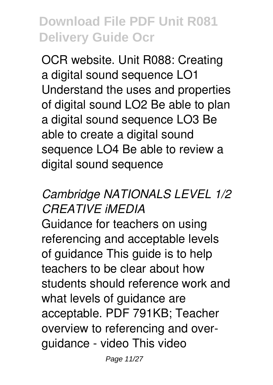OCR website. Unit R088: Creating a digital sound sequence LO1 Understand the uses and properties of digital sound LO2 Be able to plan a digital sound sequence LO3 Be able to create a digital sound sequence LO4 Be able to review a digital sound sequence

#### *Cambridge NATIONALS LEVEL 1/2 CREATIVE iMEDIA*

Guidance for teachers on using referencing and acceptable levels of guidance This guide is to help teachers to be clear about how students should reference work and what levels of guidance are acceptable. PDF 791KB; Teacher overview to referencing and overguidance - video This video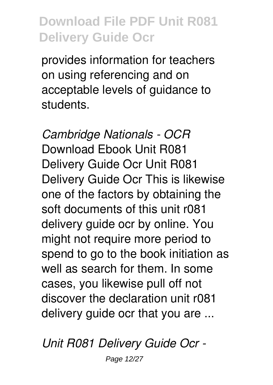provides information for teachers on using referencing and on acceptable levels of guidance to students.

*Cambridge Nationals - OCR* Download Ebook Unit R081 Delivery Guide Ocr Unit R081 Delivery Guide Ocr This is likewise one of the factors by obtaining the soft documents of this unit r081 delivery guide ocr by online. You might not require more period to spend to go to the book initiation as well as search for them. In some cases, you likewise pull off not discover the declaration unit r081 delivery guide ocr that you are ...

*Unit R081 Delivery Guide Ocr -*

Page 12/27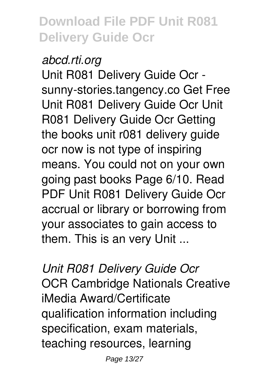#### *abcd.rti.org*

Unit R081 Delivery Guide Ocr sunny-stories.tangency.co Get Free Unit R081 Delivery Guide Ocr Unit R081 Delivery Guide Ocr Getting the books unit r081 delivery guide ocr now is not type of inspiring means. You could not on your own going past books Page 6/10. Read PDF Unit R081 Delivery Guide Ocr accrual or library or borrowing from your associates to gain access to them. This is an very Unit ...

*Unit R081 Delivery Guide Ocr* OCR Cambridge Nationals Creative iMedia Award/Certificate qualification information including specification, exam materials, teaching resources, learning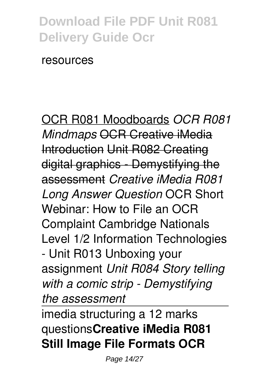#### resources

OCR R081 Moodboards *OCR R081 Mindmaps* OCR Creative iMedia Introduction Unit R082 Creating digital graphics - Demystifying the assessment *Creative iMedia R081 Long Answer Question* OCR Short Webinar: How to File an OCR Complaint Cambridge Nationals Level 1/2 Information Technologies - Unit R013 Unboxing your assignment *Unit R084 Story telling with a comic strip - Demystifying the assessment*

imedia structuring a 12 marks questions**Creative iMedia R081 Still Image File Formats OCR**

Page 14/27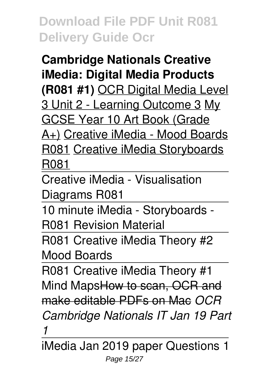**Cambridge Nationals Creative iMedia: Digital Media Products (R081 #1)** OCR Digital Media Level 3 Unit 2 - Learning Outcome 3 My GCSE Year 10 Art Book (Grade A+) Creative iMedia - Mood Boards R081 Creative iMedia Storyboards R081

Creative iMedia - Visualisation Diagrams R081

10 minute iMedia - Storyboards -

R081 Revision Material

R081 Creative iMedia Theory #2 Mood Boards

R081 Creative iMedia Theory #1 Mind MapsHow to scan, OCR and make editable PDFs on Mac *OCR Cambridge Nationals IT Jan 19 Part 1*

iMedia Jan 2019 paper Questions 1 Page 15/27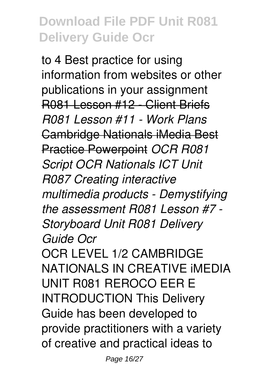to 4 Best practice for using information from websites or other publications in your assignment R081 Lesson #12 - Client Briefs *R081 Lesson #11 - Work Plans* Cambridge Nationals iMedia Best Practice Powerpoint *OCR R081 Script OCR Nationals ICT Unit R087 Creating interactive multimedia products - Demystifying the assessment R081 Lesson #7 - Storyboard Unit R081 Delivery Guide Ocr* OCR LEVEL 1/2 CAMBRIDGE NATIONALS IN CREATIVE iMEDIA UNIT R081 REROCO EER E INTRODUCTION This Delivery

Guide has been developed to provide practitioners with a variety of creative and practical ideas to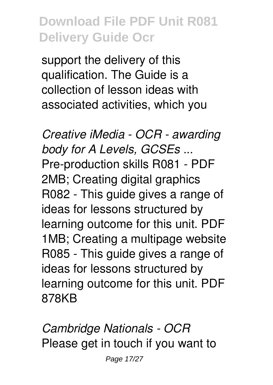support the delivery of this qualification. The Guide is a collection of lesson ideas with associated activities, which you

*Creative iMedia - OCR - awarding body for A Levels, GCSEs ...* Pre-production skills R081 - PDF 2MB; Creating digital graphics R082 - This guide gives a range of ideas for lessons structured by learning outcome for this unit. PDF 1MB; Creating a multipage website R085 - This guide gives a range of ideas for lessons structured by learning outcome for this unit. PDF 878KB

*Cambridge Nationals - OCR* Please get in touch if you want to

Page 17/27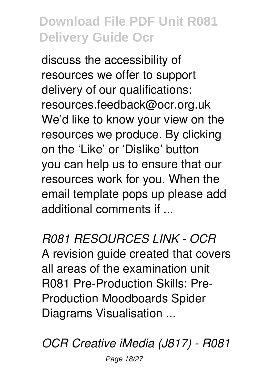discuss the accessibility of resources we offer to support delivery of our qualifications: resources.feedback@ocr.org.uk We'd like to know your view on the resources we produce. By clicking on the 'Like' or 'Dislike' button you can help us to ensure that our resources work for you. When the email template pops up please add additional comments if ...

*R081 RESOURCES LINK - OCR* A revision guide created that covers all areas of the examination unit R081 Pre-Production Skills: Pre-Production Moodboards Spider Diagrams Visualisation ...

*OCR Creative iMedia (J817) - R081*

Page 18/27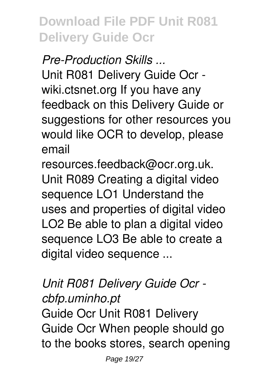*Pre-Production Skills ...*

Unit R081 Delivery Guide Ocr wiki.ctsnet.org If you have any feedback on this Delivery Guide or suggestions for other resources you would like OCR to develop, please email

resources.feedback@ocr.org.uk. Unit R089 Creating a digital video sequence LO1 Understand the uses and properties of digital video LO2 Be able to plan a digital video sequence LO3 Be able to create a digital video sequence ...

#### *Unit R081 Delivery Guide Ocr cbfp.uminho.pt* Guide Ocr Unit R081 Delivery Guide Ocr When people should go to the books stores, search opening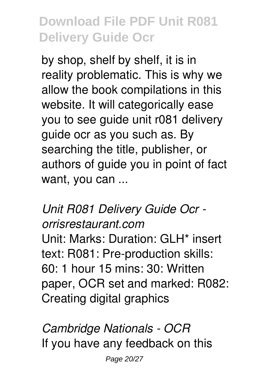by shop, shelf by shelf, it is in reality problematic. This is why we allow the book compilations in this website. It will categorically ease you to see guide unit r081 delivery guide ocr as you such as. By searching the title, publisher, or authors of guide you in point of fact want, you can ...

*Unit R081 Delivery Guide Ocr orrisrestaurant.com* Unit: Marks: Duration: GLH\* insert text: R081: Pre-production skills: 60: 1 hour 15 mins: 30: Written paper, OCR set and marked: R082: Creating digital graphics

*Cambridge Nationals - OCR* If you have any feedback on this

Page 20/27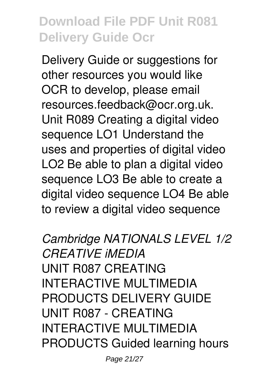Delivery Guide or suggestions for other resources you would like OCR to develop, please email resources.feedback@ocr.org.uk. Unit R089 Creating a digital video sequence LO1 Understand the uses and properties of digital video LO2 Be able to plan a digital video sequence LO3 Be able to create a digital video sequence LO4 Be able to review a digital video sequence

*Cambridge NATIONALS LEVEL 1/2 CREATIVE iMEDIA* UNIT R087 CREATING INTERACTIVE MULTIMEDIA PRODUCTS DELIVERY GUIDE UNIT R087 - CREATING INTERACTIVE MULTIMEDIA PRODUCTS Guided learning hours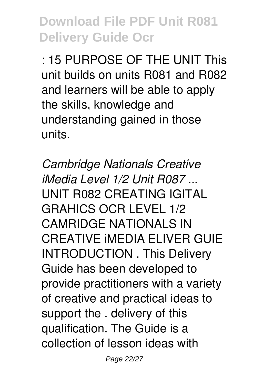: 15 PURPOSE OF THE UNIT This unit builds on units R081 and R082 and learners will be able to apply the skills, knowledge and understanding gained in those units.

*Cambridge Nationals Creative iMedia Level 1/2 Unit R087 ...* UNIT R082 CREATING IGITAL GRAHICS OCR LEVEL 1/2 CAMRIDGE NATIONALS IN CREATIVE iMEDIA ELIVER GUIE INTRODUCTION . This Delivery Guide has been developed to provide practitioners with a variety of creative and practical ideas to support the . delivery of this qualification. The Guide is a collection of lesson ideas with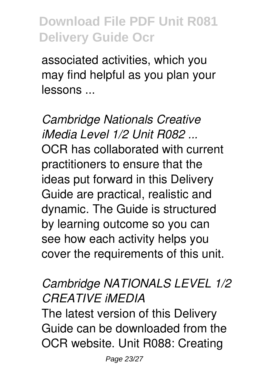associated activities, which you may find helpful as you plan your lessons ...

*Cambridge Nationals Creative iMedia Level 1/2 Unit R082 ...* OCR has collaborated with current practitioners to ensure that the ideas put forward in this Delivery Guide are practical, realistic and dynamic. The Guide is structured by learning outcome so you can see how each activity helps you cover the requirements of this unit.

#### *Cambridge NATIONALS LEVEL 1/2 CREATIVE iMEDIA*

The latest version of this Delivery Guide can be downloaded from the OCR website. Unit R088: Creating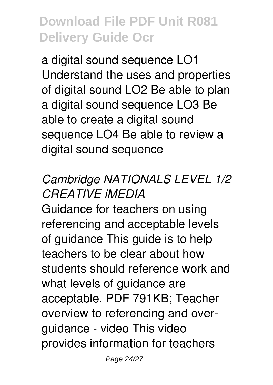a digital sound sequence LO1 Understand the uses and properties of digital sound LO2 Be able to plan a digital sound sequence LO3 Be able to create a digital sound sequence LO4 Be able to review a digital sound sequence

#### *Cambridge NATIONALS LEVEL 1/2 CREATIVE iMEDIA*

Guidance for teachers on using referencing and acceptable levels of guidance This guide is to help teachers to be clear about how students should reference work and what levels of guidance are acceptable. PDF 791KB; Teacher overview to referencing and overguidance - video This video provides information for teachers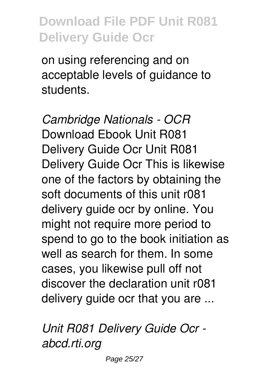on using referencing and on acceptable levels of guidance to students.

*Cambridge Nationals - OCR* Download Ebook Unit R081 Delivery Guide Ocr Unit R081 Delivery Guide Ocr This is likewise one of the factors by obtaining the soft documents of this unit r081 delivery guide ocr by online. You might not require more period to spend to go to the book initiation as well as search for them. In some cases, you likewise pull off not discover the declaration unit r081 delivery guide ocr that you are ...

*Unit R081 Delivery Guide Ocr abcd.rti.org*

Page 25/27